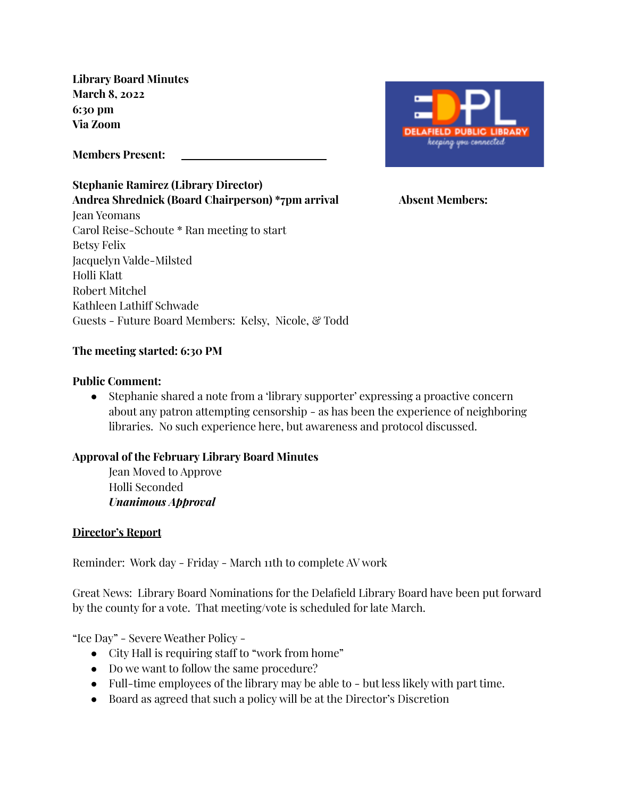**Library Board Minutes March 8, 2022 6:30 pm Via Zoom**

**Members Present:**

**Stephanie Ramirez (Library Director) Andrea Shrednick (Board Chairperson) \*7pm arrival Absent Members:** Jean Yeomans Carol Reise-Schoute \* Ran meeting to start Betsy Felix Jacquelyn Valde-Milsted Holli Klatt Robert Mitchel Kathleen Lathiff Schwade Guests - Future Board Members: Kelsy, Nicole, & Todd



## **The meeting started: 6:30 PM**

#### **Public Comment:**

● Stephanie shared a note from a 'library supporter' expressing a proactive concern about any patron attempting censorship - as has been the experience of neighboring libraries. No such experience here, but awareness and protocol discussed.

### **Approval of the February Library Board Minutes**

Jean Moved to Approve Holli Seconded *Unanimous Approval*

### **Director's Report**

Reminder: Work day - Friday - March 11th to complete AV work

Great News: Library Board Nominations for the Delafield Library Board have been put forward by the county for a vote. That meeting/vote is scheduled for late March.

"Ice Day" - Severe Weather Policy -

- City Hall is requiring staff to "work from home"
- Do we want to follow the same procedure?
- Full-time employees of the library may be able to but less likely with part time.
- Board as agreed that such a policy will be at the Director's Discretion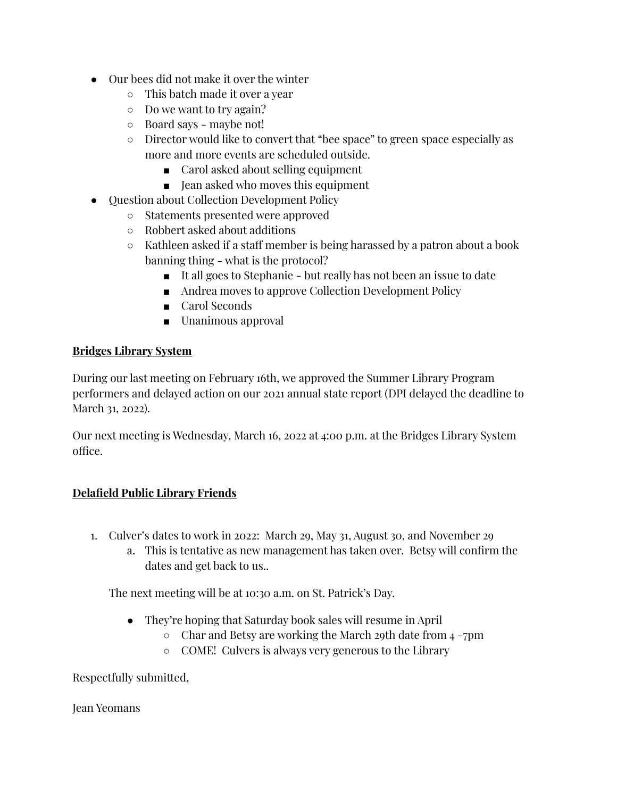- Our bees did not make it over the winter
	- This batch made it over a year
	- Do we want to try again?
	- Board says maybe not!
	- Director would like to convert that "bee space" to green space especially as more and more events are scheduled outside.
		- Carol asked about selling equipment
		- Jean asked who moves this equipment
- Question about Collection Development Policy
	- Statements presented were approved
	- Robbert asked about additions
	- Kathleen asked if a staff member is being harassed by a patron about a book banning thing - what is the protocol?
		- It all goes to Stephanie but really has not been an issue to date
		- Andrea moves to approve Collection Development Policy
		- Carol Seconds
		- Unanimous approval

## **Bridges Library System**

During our last meeting on February 16th, we approved the Summer Library Program performers and delayed action on our 2021 annual state report (DPI delayed the deadline to March 31, 2022).

Our next meeting is Wednesday, March 16, 2022 at 4:00 p.m. at the Bridges Library System office.

# **Delafield Public Library Friends**

- 1. Culver's dates to work in 2022: March 29, May 31, August 30, and November 29
	- a. This is tentative as new management has taken over. Betsy will confirm the dates and get back to us..

The next meeting will be at 10:30 a.m. on St. Patrick's Day.

- They're hoping that Saturday book sales will resume in April
	- Char and Betsy are working the March 29th date from 4 -7pm
	- COME! Culvers is always very generous to the Library

Respectfully submitted,

Jean Yeomans